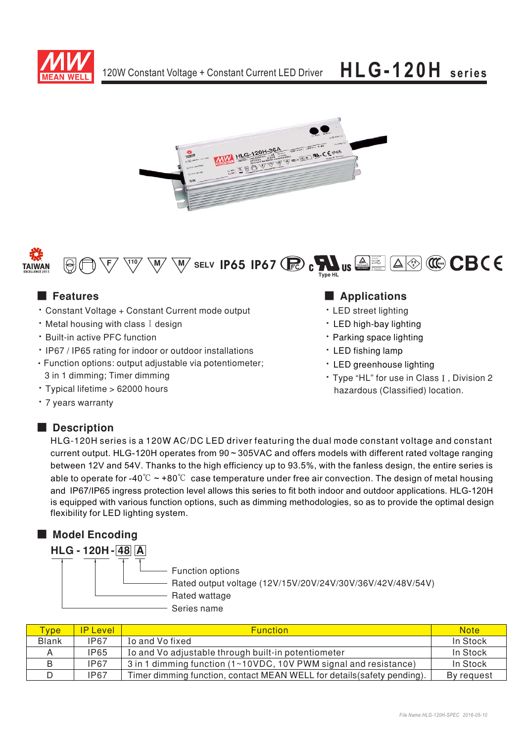







## ■ Features

- Constant Voltage + Constant Current mode output
- $\cdot$  Metal housing with class I design
- Built-in active PFC function
- IP67 / IP65 rating for indoor or outdoor installations
- Function options: output adjustable via potentiometer; 3 in 1 dimming; Timer dimming
- · Typical lifetime > 62000 hours
- 7 years warranty

### ■ **Description**

### **Applications**

- LED street lighting
- LED high-bay lighting
- Parking space lighting
- LED fishing lamp
- \* LED greenhouse lighting
- Type "HL" for use in Class I, Division 2 hazardous (Classified) location.

HLG-120H series is a 120W AC/DC LED driver featuring the dual mode constant voltage and constant current output. HLG-120H operates from 90 ~ 305VAC and offers models with different rated voltage ranging between 12V and 54V. Thanks to the high efficiency up to 93.5%, with the fanless design, the entire series is able to operate for -40 $\degree$ C  $\sim$  +80 $\degree$ C case temperature under free air convection. The design of metal housing and IP67/IP65 ingress protection level allows this series to fit both indoor and outdoor applications. HLG-120H is equipped with various function options, such as dimming methodologies, so as to provide the optimal design flexibility for LED lighting system.

## ■ **Model Encoding** Function options Rated output voltage (12V/15V/20V/24V/30V/36V/42V/48V/54V) - Rated wattage - Series name  **HLG - 120H - 48 A**

| <b>Type</b>  | <b>IP Level</b> | <b>Function</b>                                                                                   | <b>Note</b> |
|--------------|-----------------|---------------------------------------------------------------------------------------------------|-------------|
| <b>Blank</b> | <b>IP67</b>     | To and Vo fixed                                                                                   | In Stock    |
|              | <b>IP65</b>     | Io and Vo adjustable through built-in potentiometer                                               | In Stock    |
|              | <b>IP67</b>     | 3 in 1 dimming function $(1 \times 10 \text{VDC}, 10 \text{V} \text{ PWM}$ signal and resistance) | In Stock    |
|              | <b>IP67</b>     | Timer dimming function, contact MEAN WELL for details (safety pending).                           | By request  |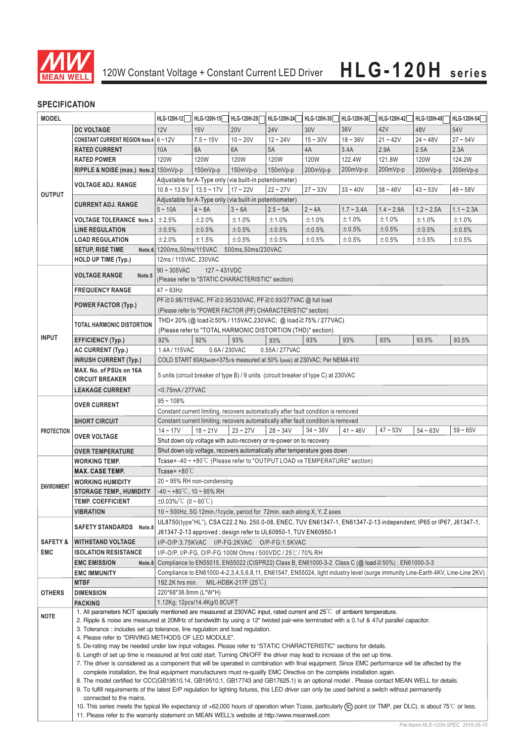

## **SPECIFICATION**

| <b>MODEL</b>        |                                                                                                                                                                                                                                                                                                                                                                                                                                                                                                                                                                                                                                                                                                                                                                                   | HLG-120H-12                                                                                                                    | HLG-120H-15                                                             | HLG-120H-20                   | HLG-120H-24                                                                | HLG-120H-30 | HLG-120H-36 | HLG-120H-42 | HLG-120H-48 | HLG-120H-54 |  |
|---------------------|-----------------------------------------------------------------------------------------------------------------------------------------------------------------------------------------------------------------------------------------------------------------------------------------------------------------------------------------------------------------------------------------------------------------------------------------------------------------------------------------------------------------------------------------------------------------------------------------------------------------------------------------------------------------------------------------------------------------------------------------------------------------------------------|--------------------------------------------------------------------------------------------------------------------------------|-------------------------------------------------------------------------|-------------------------------|----------------------------------------------------------------------------|-------------|-------------|-------------|-------------|-------------|--|
|                     | <b>DC VOLTAGE</b>                                                                                                                                                                                                                                                                                                                                                                                                                                                                                                                                                                                                                                                                                                                                                                 | 12V                                                                                                                            | 15V                                                                     | <b>20V</b>                    | <b>24V</b>                                                                 | 30V         | 36V         | 42V         | 48V         | 54V         |  |
| <b>OUTPUT</b>       | CONSTANT CURRENT REGION Note.4 6~12V                                                                                                                                                                                                                                                                                                                                                                                                                                                                                                                                                                                                                                                                                                                                              |                                                                                                                                | $7.5 - 15V$                                                             | $10 - 20V$                    | $12 - 24V$                                                                 | $15 - 30V$  | $18 - 36V$  | $21 - 42V$  | $24 - 48V$  | $27 - 54V$  |  |
|                     | <b>RATED CURRENT</b>                                                                                                                                                                                                                                                                                                                                                                                                                                                                                                                                                                                                                                                                                                                                                              | 10A                                                                                                                            | <b>8A</b>                                                               | 6A                            | 5A                                                                         | 4A          | 3.4A        | 2.9A        | 2.5A        | 2.3A        |  |
|                     | <b>RATED POWER</b>                                                                                                                                                                                                                                                                                                                                                                                                                                                                                                                                                                                                                                                                                                                                                                | 120W                                                                                                                           | 120W                                                                    | 120W                          | 120W                                                                       | 120W        | 122.4W      | 121.8W      | <b>120W</b> | 124.2W      |  |
|                     | RIPPLE & NOISE (max.) Note.2 150mVp-p                                                                                                                                                                                                                                                                                                                                                                                                                                                                                                                                                                                                                                                                                                                                             |                                                                                                                                | 150mVp-p                                                                | 150mVp-p                      | 150mVp-p                                                                   | 200mVp-p    | 200mVp-p    | 200mVp-p    | 200mVp-p    | 200mVp-p    |  |
|                     |                                                                                                                                                                                                                                                                                                                                                                                                                                                                                                                                                                                                                                                                                                                                                                                   |                                                                                                                                | Adjustable for A-Type only (via built-in potentiometer)                 |                               |                                                                            |             |             |             |             |             |  |
|                     | <b>VOLTAGE ADJ. RANGE</b>                                                                                                                                                                                                                                                                                                                                                                                                                                                                                                                                                                                                                                                                                                                                                         | $10.8 \sim 13.5V$ 13.5 ~ 17V                                                                                                   |                                                                         | $17 - 22V$                    | $22 - 27V$                                                                 | $27 - 33V$  | $33 - 40V$  | $38 - 46V$  | $43 - 53V$  | $49 - 58V$  |  |
|                     |                                                                                                                                                                                                                                                                                                                                                                                                                                                                                                                                                                                                                                                                                                                                                                                   | Adjustable for A-Type only (via built-in potentiometer)                                                                        |                                                                         |                               |                                                                            |             |             |             |             |             |  |
|                     | <b>CURRENT ADJ. RANGE</b>                                                                                                                                                                                                                                                                                                                                                                                                                                                                                                                                                                                                                                                                                                                                                         | $5 - 10A$<br>$4 \sim 8A$<br>$2 - 4A$<br>$1.7 - 3.4A$<br>$1.4 - 2.9A$<br>$3 - 6A$<br>$2.5 - 5A$<br>$1.2 - 2.5A$<br>$1.1 - 2.3A$ |                                                                         |                               |                                                                            |             |             |             |             |             |  |
|                     | <b>VOLTAGE TOLERANCE Note.3</b>                                                                                                                                                                                                                                                                                                                                                                                                                                                                                                                                                                                                                                                                                                                                                   | $\pm 2.5%$                                                                                                                     | ±2.0%                                                                   | ±1.0%                         | ±1.0%                                                                      | $±1.0\%$    | ±1.0%       | ±1.0%       | ±1.0%       | ±1.0%       |  |
|                     |                                                                                                                                                                                                                                                                                                                                                                                                                                                                                                                                                                                                                                                                                                                                                                                   |                                                                                                                                |                                                                         |                               |                                                                            |             |             |             |             |             |  |
|                     | <b>LINE REGULATION</b>                                                                                                                                                                                                                                                                                                                                                                                                                                                                                                                                                                                                                                                                                                                                                            | ±0.5%                                                                                                                          | ±0.5%                                                                   | ±0.5%                         | ±0.5%                                                                      | ±0.5%       | ±0.5%       | ±0.5%       | ±0.5%       | ±0.5%       |  |
|                     | <b>LOAD REGULATION</b>                                                                                                                                                                                                                                                                                                                                                                                                                                                                                                                                                                                                                                                                                                                                                            | ±2.0%                                                                                                                          | ±1.5%                                                                   | ±0.5%                         | ±0.5%                                                                      | ±0.5%       | ±0.5%       | ±0.5%       | ±0.5%       | ±0.5%       |  |
|                     | <b>SETUP, RISE TIME</b>                                                                                                                                                                                                                                                                                                                                                                                                                                                                                                                                                                                                                                                                                                                                                           | Note.6 1200ms, 50ms/115VAC                                                                                                     |                                                                         | 500ms, 50ms/230VAC            |                                                                            |             |             |             |             |             |  |
|                     | <b>HOLD UP TIME (Typ.)</b>                                                                                                                                                                                                                                                                                                                                                                                                                                                                                                                                                                                                                                                                                                                                                        | 12ms / 115VAC, 230VAC                                                                                                          |                                                                         |                               |                                                                            |             |             |             |             |             |  |
|                     |                                                                                                                                                                                                                                                                                                                                                                                                                                                                                                                                                                                                                                                                                                                                                                                   | $90 \sim 305$ VAC<br>$127 - 431VDC$                                                                                            |                                                                         |                               |                                                                            |             |             |             |             |             |  |
|                     | <b>VOLTAGE RANGE</b><br>Note.5                                                                                                                                                                                                                                                                                                                                                                                                                                                                                                                                                                                                                                                                                                                                                    | (Please refer to "STATIC CHARACTERISTIC" section)                                                                              |                                                                         |                               |                                                                            |             |             |             |             |             |  |
|                     | <b>FREQUENCY RANGE</b>                                                                                                                                                                                                                                                                                                                                                                                                                                                                                                                                                                                                                                                                                                                                                            | $47 \sim 63$ Hz                                                                                                                |                                                                         |                               |                                                                            |             |             |             |             |             |  |
|                     |                                                                                                                                                                                                                                                                                                                                                                                                                                                                                                                                                                                                                                                                                                                                                                                   | PF ≥ 0.98/115VAC, PF ≥ 0.95/230VAC, PF ≥ 0.93/277VAC @ full load                                                               |                                                                         |                               |                                                                            |             |             |             |             |             |  |
|                     | <b>POWER FACTOR (Typ.)</b>                                                                                                                                                                                                                                                                                                                                                                                                                                                                                                                                                                                                                                                                                                                                                        | (Please refer to "POWER FACTOR (PF) CHARACTERISTIC" section)                                                                   |                                                                         |                               |                                                                            |             |             |             |             |             |  |
|                     |                                                                                                                                                                                                                                                                                                                                                                                                                                                                                                                                                                                                                                                                                                                                                                                   | THD< 20% (@ load≧50% / 115VAC, 230VAC; @ load≧75% / 277VAC)                                                                    |                                                                         |                               |                                                                            |             |             |             |             |             |  |
|                     | <b>TOTAL HARMONIC DISTORTION</b>                                                                                                                                                                                                                                                                                                                                                                                                                                                                                                                                                                                                                                                                                                                                                  |                                                                                                                                |                                                                         |                               | (Please refer to "TOTAL HARMONIC DISTORTION (THD)" section)                |             |             |             |             |             |  |
| <b>INPUT</b>        | <b>EFFICIENCY (Typ.)</b>                                                                                                                                                                                                                                                                                                                                                                                                                                                                                                                                                                                                                                                                                                                                                          | 92%                                                                                                                            | 92%                                                                     | 93%                           | 93%                                                                        | 93%         | 93%         | 93%         | 93.5%       | 93.5%       |  |
|                     |                                                                                                                                                                                                                                                                                                                                                                                                                                                                                                                                                                                                                                                                                                                                                                                   |                                                                                                                                |                                                                         |                               |                                                                            |             |             |             |             |             |  |
|                     | <b>AC CURRENT (Typ.)</b>                                                                                                                                                                                                                                                                                                                                                                                                                                                                                                                                                                                                                                                                                                                                                          | 1.4A/115VAC                                                                                                                    | 0.6A/230VAC                                                             |                               | 0.55A / 277VAC                                                             |             |             |             |             |             |  |
|                     | <b>INRUSH CURRENT (Typ.)</b>                                                                                                                                                                                                                                                                                                                                                                                                                                                                                                                                                                                                                                                                                                                                                      |                                                                                                                                |                                                                         |                               | COLD START 60A(twidth=375µs measured at 50% Ipeak) at 230VAC; Per NEMA 410 |             |             |             |             |             |  |
|                     | MAX. No. of PSUs on 16A                                                                                                                                                                                                                                                                                                                                                                                                                                                                                                                                                                                                                                                                                                                                                           | 5 units (circuit breaker of type B) / 9 units (circuit breaker of type C) at 230VAC                                            |                                                                         |                               |                                                                            |             |             |             |             |             |  |
|                     | <b>CIRCUIT BREAKER</b>                                                                                                                                                                                                                                                                                                                                                                                                                                                                                                                                                                                                                                                                                                                                                            |                                                                                                                                |                                                                         |                               |                                                                            |             |             |             |             |             |  |
|                     | <b>LEAKAGE CURRENT</b>                                                                                                                                                                                                                                                                                                                                                                                                                                                                                                                                                                                                                                                                                                                                                            | <0.75mA/277VAC                                                                                                                 |                                                                         |                               |                                                                            |             |             |             |             |             |  |
|                     | <b>OVER CURRENT</b>                                                                                                                                                                                                                                                                                                                                                                                                                                                                                                                                                                                                                                                                                                                                                               | $95 - 108%$                                                                                                                    |                                                                         |                               |                                                                            |             |             |             |             |             |  |
|                     |                                                                                                                                                                                                                                                                                                                                                                                                                                                                                                                                                                                                                                                                                                                                                                                   | Constant current limiting, recovers automatically after fault condition is removed                                             |                                                                         |                               |                                                                            |             |             |             |             |             |  |
| <b>PROTECTION</b>   | Constant current limiting, recovers automatically after fault condition is removed<br><b>SHORT CIRCUIT</b>                                                                                                                                                                                                                                                                                                                                                                                                                                                                                                                                                                                                                                                                        |                                                                                                                                |                                                                         |                               |                                                                            |             |             |             |             |             |  |
|                     |                                                                                                                                                                                                                                                                                                                                                                                                                                                                                                                                                                                                                                                                                                                                                                                   | $14 - 17V$                                                                                                                     | $18 - 21V$                                                              | $23 - 27V$                    | $28 - 34V$                                                                 | $34 - 38V$  | $41 - 46V$  | $47 - 53V$  | $54 - 63V$  | $59 - 65V$  |  |
|                     | <b>OVER VOLTAGE</b>                                                                                                                                                                                                                                                                                                                                                                                                                                                                                                                                                                                                                                                                                                                                                               |                                                                                                                                |                                                                         |                               | Shut down o/p voltage with auto-recovery or re-power on to recovery        |             |             |             |             |             |  |
|                     | <b>OVER TEMPERATURE</b>                                                                                                                                                                                                                                                                                                                                                                                                                                                                                                                                                                                                                                                                                                                                                           | Shut down o/p voltage, recovers automatically after temperature goes down                                                      |                                                                         |                               |                                                                            |             |             |             |             |             |  |
|                     | <b>WORKING TEMP.</b>                                                                                                                                                                                                                                                                                                                                                                                                                                                                                                                                                                                                                                                                                                                                                              |                                                                                                                                |                                                                         |                               |                                                                            |             |             |             |             |             |  |
|                     | <b>MAX. CASE TEMP.</b>                                                                                                                                                                                                                                                                                                                                                                                                                                                                                                                                                                                                                                                                                                                                                            | Tcase=-40 ~ +80°C (Please refer to "OUTPUT LOAD vs TEMPERATURE" section)<br>Tcase= $+80^{\circ}$ C                             |                                                                         |                               |                                                                            |             |             |             |             |             |  |
|                     | <b>WORKING HUMIDITY</b>                                                                                                                                                                                                                                                                                                                                                                                                                                                                                                                                                                                                                                                                                                                                                           | 20~95% RH non-condensing                                                                                                       |                                                                         |                               |                                                                            |             |             |             |             |             |  |
| <b>ENVIRONMENT</b>  | <b>STORAGE TEMP., HUMIDITY</b>                                                                                                                                                                                                                                                                                                                                                                                                                                                                                                                                                                                                                                                                                                                                                    | $-40 \sim +80^{\circ}$ C, 10 ~ 95% RH                                                                                          |                                                                         |                               |                                                                            |             |             |             |             |             |  |
|                     |                                                                                                                                                                                                                                                                                                                                                                                                                                                                                                                                                                                                                                                                                                                                                                                   |                                                                                                                                |                                                                         |                               |                                                                            |             |             |             |             |             |  |
|                     | TEMP. COEFFICIENT                                                                                                                                                                                                                                                                                                                                                                                                                                                                                                                                                                                                                                                                                                                                                                 | $\pm 0.03\%$ /°C (0 ~ 60°C)                                                                                                    |                                                                         |                               |                                                                            |             |             |             |             |             |  |
|                     | <b>VIBRATION</b>                                                                                                                                                                                                                                                                                                                                                                                                                                                                                                                                                                                                                                                                                                                                                                  |                                                                                                                                | 10 ~ 500Hz, 5G 12min./1cycle, period for 72min. each along X, Y, Z axes |                               |                                                                            |             |             |             |             |             |  |
|                     | SAFETY STANDARDS Note.8                                                                                                                                                                                                                                                                                                                                                                                                                                                                                                                                                                                                                                                                                                                                                           | UL8750(type"HL"), CSA C22.2 No. 250.0-08, ENEC, TUV EN61347-1, EN61347-2-13 independent; IP65 or IP67, J61347-1,               |                                                                         |                               |                                                                            |             |             |             |             |             |  |
|                     |                                                                                                                                                                                                                                                                                                                                                                                                                                                                                                                                                                                                                                                                                                                                                                                   | J61347-2-13 approved; design refer to UL60950-1, TUV EN60950-1                                                                 |                                                                         |                               |                                                                            |             |             |             |             |             |  |
| <b>SAFETY &amp;</b> | <b>WITHSTAND VOLTAGE</b>                                                                                                                                                                                                                                                                                                                                                                                                                                                                                                                                                                                                                                                                                                                                                          | I/P-O/P:3.75KVAC I/P-FG:2KVAC O/P-FG:1.5KVAC                                                                                   |                                                                         |                               |                                                                            |             |             |             |             |             |  |
| EMC                 | <b>ISOLATION RESISTANCE</b>                                                                                                                                                                                                                                                                                                                                                                                                                                                                                                                                                                                                                                                                                                                                                       |                                                                                                                                |                                                                         |                               | I/P-O/P, I/P-FG, O/P-FG:100M Ohms / 500VDC / 25℃/ 70% RH                   |             |             |             |             |             |  |
|                     | <b>EMC EMISSION</b>                                                                                                                                                                                                                                                                                                                                                                                                                                                                                                                                                                                                                                                                                                                                                               | Note.8 Compliance to EN55015, EN55022 (CISPR22) Class B, EN61000-3-2 Class C (@ load≧50%) ; EN61000-3-3                        |                                                                         |                               |                                                                            |             |             |             |             |             |  |
|                     | <b>EMC IMMUNITY</b>                                                                                                                                                                                                                                                                                                                                                                                                                                                                                                                                                                                                                                                                                                                                                               | Compliance to EN61000-4-2,3,4,5,6,8,11, EN61547, EN55024, light industry level (surge immunity Line-Earth 4KV, Line-Line 2KV)  |                                                                         |                               |                                                                            |             |             |             |             |             |  |
|                     | <b>MTBF</b>                                                                                                                                                                                                                                                                                                                                                                                                                                                                                                                                                                                                                                                                                                                                                                       | 192.2K hrs min.                                                                                                                |                                                                         | MIL-HDBK-217F $(25^{\circ}C)$ |                                                                            |             |             |             |             |             |  |
| <b>OTHERS</b>       | <b>DIMENSION</b>                                                                                                                                                                                                                                                                                                                                                                                                                                                                                                                                                                                                                                                                                                                                                                  | 220*68*38.8mm (L*W*H)                                                                                                          |                                                                         |                               |                                                                            |             |             |             |             |             |  |
|                     | <b>PACKING</b>                                                                                                                                                                                                                                                                                                                                                                                                                                                                                                                                                                                                                                                                                                                                                                    | 1.12Kg; 12pcs/14.4Kg/0.8CUFT                                                                                                   |                                                                         |                               |                                                                            |             |             |             |             |             |  |
|                     | 1. All parameters NOT specially mentioned are measured at 230VAC input, rated current and 25 <sup>°</sup> C of ambient temperature.                                                                                                                                                                                                                                                                                                                                                                                                                                                                                                                                                                                                                                               |                                                                                                                                |                                                                         |                               |                                                                            |             |             |             |             |             |  |
| NOTE                | 2. Ripple & noise are measured at 20MHz of bandwidth by using a 12" twisted pair-wire terminated with a 0.1uf & 47uf parallel capacitor.                                                                                                                                                                                                                                                                                                                                                                                                                                                                                                                                                                                                                                          |                                                                                                                                |                                                                         |                               |                                                                            |             |             |             |             |             |  |
|                     | 3. Tolerance: includes set up tolerance, line regulation and load regulation.                                                                                                                                                                                                                                                                                                                                                                                                                                                                                                                                                                                                                                                                                                     |                                                                                                                                |                                                                         |                               |                                                                            |             |             |             |             |             |  |
|                     | 4. Please refer to "DRIVING METHODS OF LED MODULE".<br>5. De-rating may be needed under low input voltages. Please refer to "STATIC CHARACTERISTIC" sections for details.<br>6. Length of set up time is measured at first cold start. Turning ON/OFF the driver may lead to increase of the set up time.                                                                                                                                                                                                                                                                                                                                                                                                                                                                         |                                                                                                                                |                                                                         |                               |                                                                            |             |             |             |             |             |  |
|                     |                                                                                                                                                                                                                                                                                                                                                                                                                                                                                                                                                                                                                                                                                                                                                                                   |                                                                                                                                |                                                                         |                               |                                                                            |             |             |             |             |             |  |
|                     |                                                                                                                                                                                                                                                                                                                                                                                                                                                                                                                                                                                                                                                                                                                                                                                   |                                                                                                                                |                                                                         |                               |                                                                            |             |             |             |             |             |  |
|                     | 7. The driver is considered as a component that will be operated in combination with final equipment. Since EMC performance will be affected by the<br>complete installation, the final equipment manufacturers must re-qualify EMC Directive on the complete installation again.<br>8. The model certified for CCC(GB19510.14, GB19510.1, GB17743 and GB17625.1) is an optional model . Please contact MEAN WELL for details.<br>9. To fulfill requirements of the latest ErP regulation for lighting fixtures, this LED driver can only be used behind a switch without permanently<br>connected to the mains.<br>10. This series meets the typical life expectancy of >62,000 hours of operation when Tcase, particularly (tc) point (or TMP, per DLC), is about 75°C or less. |                                                                                                                                |                                                                         |                               |                                                                            |             |             |             |             |             |  |
|                     |                                                                                                                                                                                                                                                                                                                                                                                                                                                                                                                                                                                                                                                                                                                                                                                   |                                                                                                                                |                                                                         |                               |                                                                            |             |             |             |             |             |  |
|                     |                                                                                                                                                                                                                                                                                                                                                                                                                                                                                                                                                                                                                                                                                                                                                                                   |                                                                                                                                |                                                                         |                               |                                                                            |             |             |             |             |             |  |
|                     |                                                                                                                                                                                                                                                                                                                                                                                                                                                                                                                                                                                                                                                                                                                                                                                   |                                                                                                                                |                                                                         |                               |                                                                            |             |             |             |             |             |  |
|                     |                                                                                                                                                                                                                                                                                                                                                                                                                                                                                                                                                                                                                                                                                                                                                                                   |                                                                                                                                |                                                                         |                               |                                                                            |             |             |             |             |             |  |
|                     | 11. Please refer to the warranty statement on MEAN WELL's website at http://www.meanwell.com                                                                                                                                                                                                                                                                                                                                                                                                                                                                                                                                                                                                                                                                                      |                                                                                                                                |                                                                         |                               |                                                                            |             |             |             |             |             |  |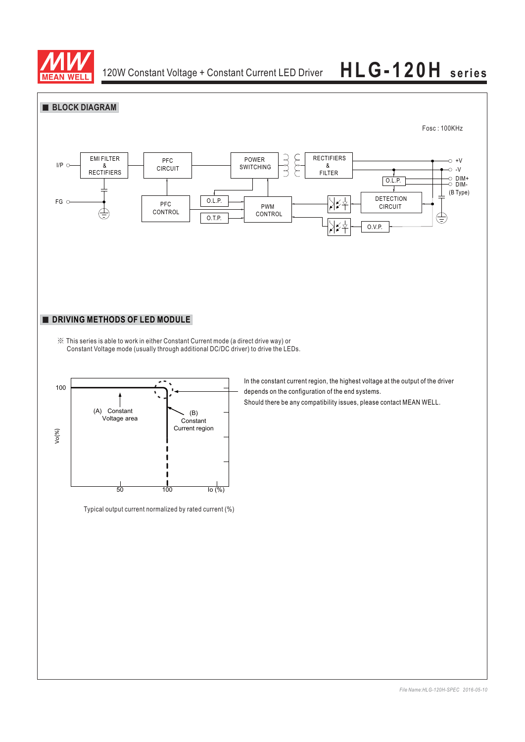

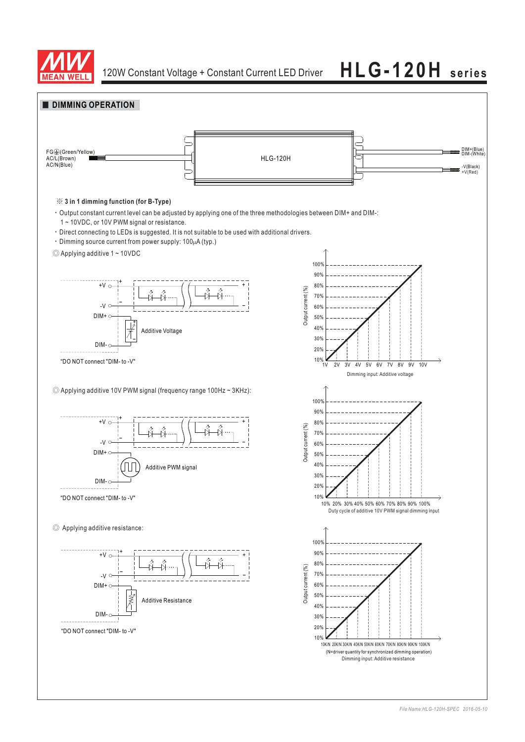

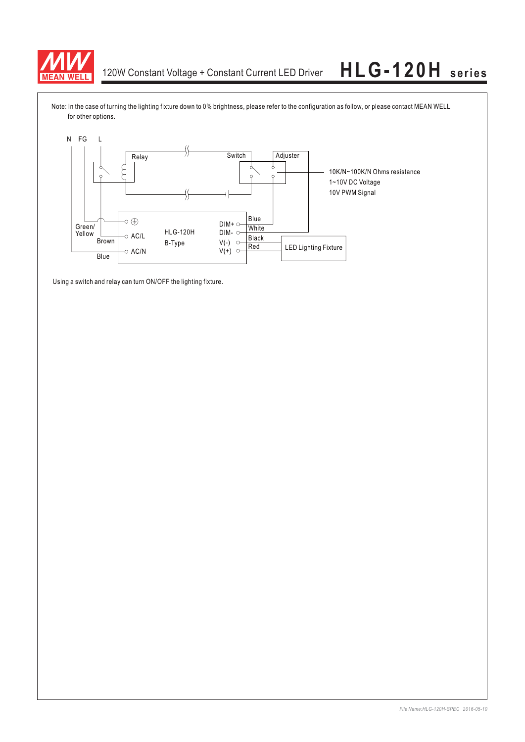

Note: In the case of turning the lighting fixture down to 0% brightness, please refer to the configuration as follow, or please contact MEAN WELL for other options.



Using a switch and relay can turn ON/OFF the lighting fixture.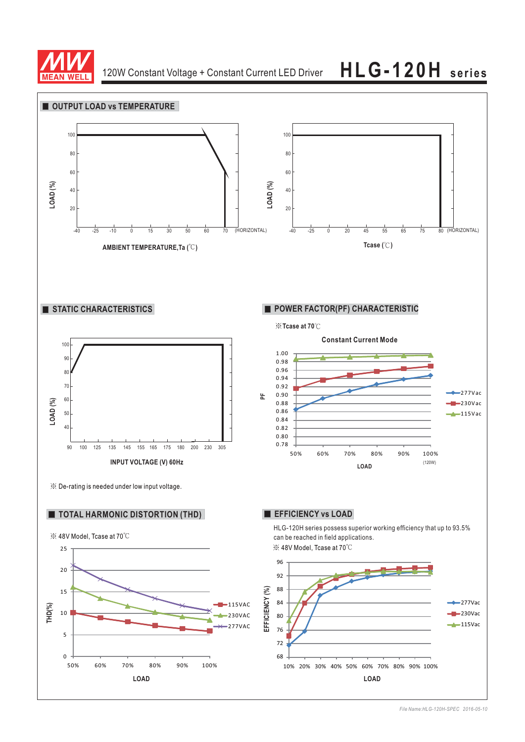

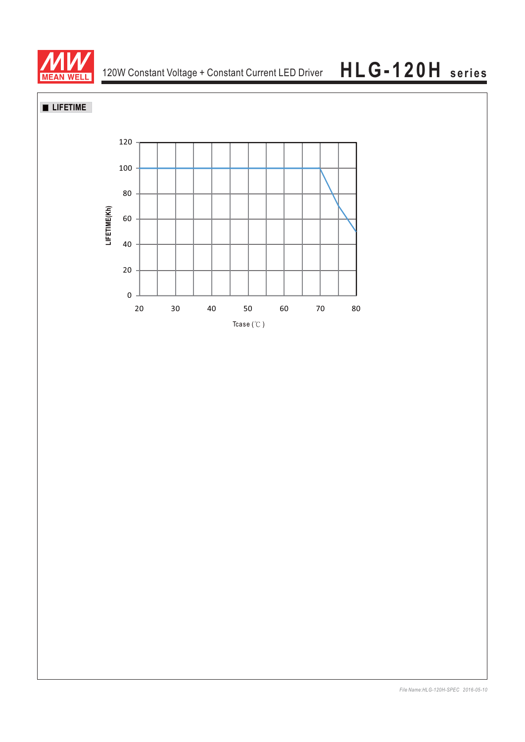

## **LIFETIME**

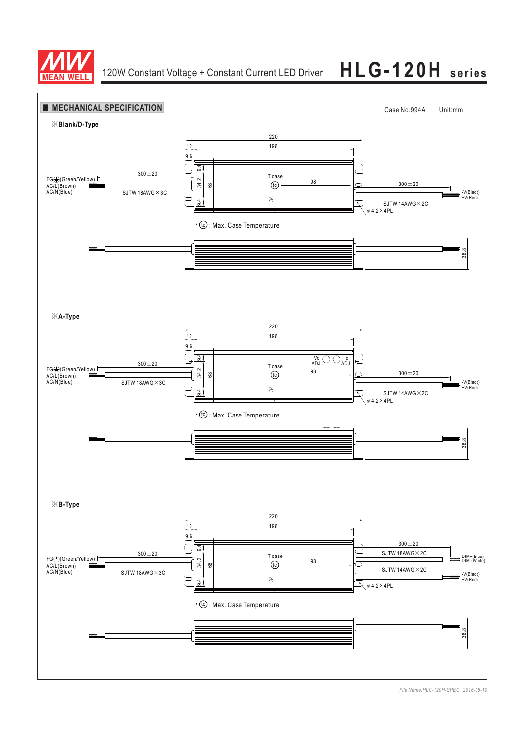